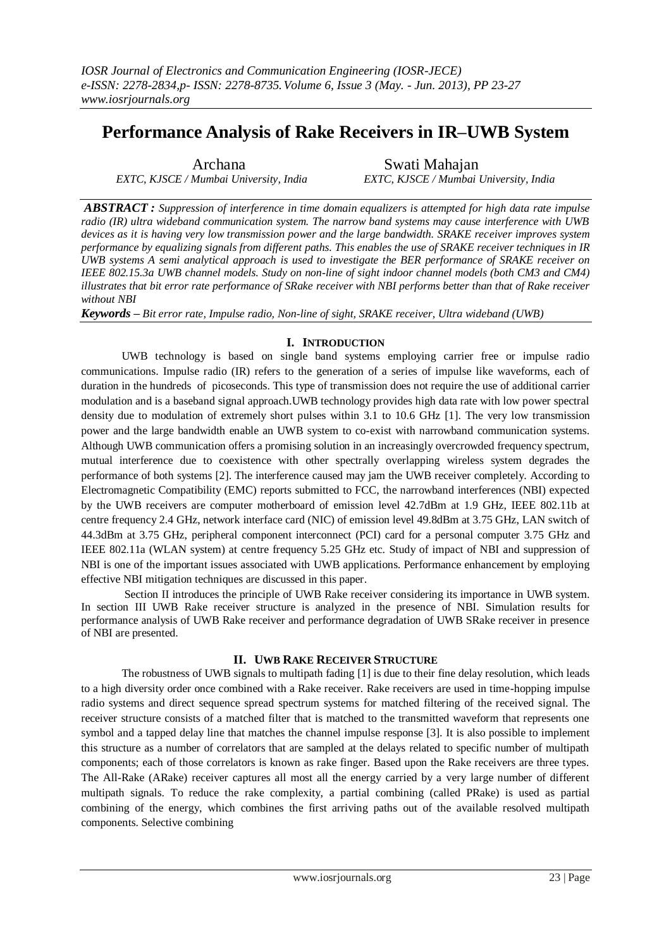# **Performance Analysis of Rake Receivers in IR–UWB System**

*EXTC, KJSCE / Mumbai University, India EXTC, KJSCE / Mumbai University, India*

Archana Swati Mahajan

*ABSTRACT : Suppression of interference in time domain equalizers is attempted for high data rate impulse radio (IR) ultra wideband communication system. The narrow band systems may cause interference with UWB devices as it is having very low transmission power and the large bandwidth. SRAKE receiver improves system performance by equalizing signals from different paths. This enables the use of SRAKE receiver techniques in IR UWB systems A semi analytical approach is used to investigate the BER performance of SRAKE receiver on IEEE 802.15.3a UWB channel models. Study on non-line of sight indoor channel models (both CM3 and CM4) illustrates that bit error rate performance of SRake receiver with NBI performs better than that of Rake receiver without NBI*

*Keywords – Bit error rate, Impulse radio, Non-line of sight, SRAKE receiver, Ultra wideband (UWB)*

## **I. INTRODUCTION**

UWB technology is based on single band systems employing carrier free or impulse radio communications. Impulse radio (IR) refers to the generation of a series of impulse like waveforms, each of duration in the hundreds of picoseconds. This type of transmission does not require the use of additional carrier modulation and is a baseband signal approach.UWB technology provides high data rate with low power spectral density due to modulation of extremely short pulses within 3.1 to 10.6 GHz [1]. The very low transmission power and the large bandwidth enable an UWB system to co-exist with narrowband communication systems. Although UWB communication offers a promising solution in an increasingly overcrowded frequency spectrum, mutual interference due to coexistence with other spectrally overlapping wireless system degrades the performance of both systems [2]. The interference caused may jam the UWB receiver completely. According to Electromagnetic Compatibility (EMC) reports submitted to FCC, the narrowband interferences (NBI) expected by the UWB receivers are computer motherboard of emission level 42.7dBm at 1.9 GHz, IEEE 802.11b at centre frequency 2.4 GHz, network interface card (NIC) of emission level 49.8dBm at 3.75 GHz, LAN switch of 44.3dBm at 3.75 GHz, peripheral component interconnect (PCI) card for a personal computer 3.75 GHz and IEEE 802.11a (WLAN system) at centre frequency 5.25 GHz etc. Study of impact of NBI and suppression of NBI is one of the important issues associated with UWB applications. Performance enhancement by employing effective NBI mitigation techniques are discussed in this paper.

Section II introduces the principle of UWB Rake receiver considering its importance in UWB system. In section III UWB Rake receiver structure is analyzed in the presence of NBI. Simulation results for performance analysis of UWB Rake receiver and performance degradation of UWB SRake receiver in presence of NBI are presented.

### **II. UWB RAKE RECEIVER STRUCTURE**

The robustness of UWB signals to multipath fading [1] is due to their fine delay resolution, which leads to a high diversity order once combined with a Rake receiver. Rake receivers are used in time-hopping impulse radio systems and direct sequence spread spectrum systems for matched filtering of the received signal. The receiver structure consists of a matched filter that is matched to the transmitted waveform that represents one symbol and a tapped delay line that matches the channel impulse response [3]. It is also possible to implement this structure as a number of correlators that are sampled at the delays related to specific number of multipath components; each of those correlators is known as rake finger. Based upon the Rake receivers are three types. The All-Rake (ARake) receiver captures all most all the energy carried by a very large number of different multipath signals. To reduce the rake complexity, a partial combining (called PRake) is used as partial combining of the energy, which combines the first arriving paths out of the available resolved multipath components. Selective combining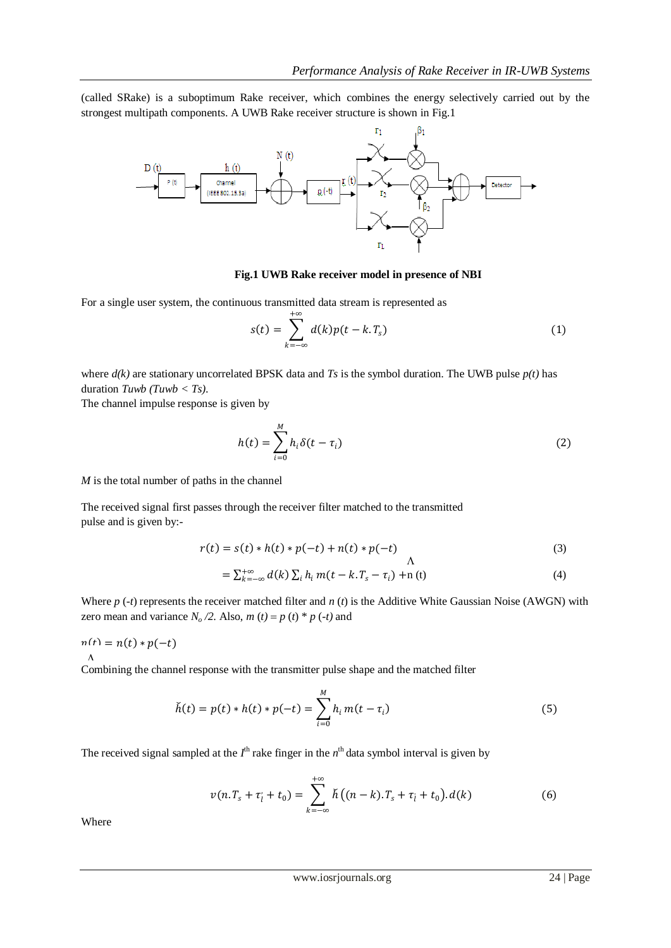(called SRake) is a suboptimum Rake receiver, which combines the energy selectively carried out by the strongest multipath components. A UWB Rake receiver structure is shown in Fig.1



#### **Fig.1 UWB Rake receiver model in presence of NBI**

For a single user system, the continuous transmitted data stream is represented as

$$
s(t) = \sum_{k=-\infty}^{+\infty} d(k)p(t - k.T_s)
$$
 (1)

where *d(k)* are stationary uncorrelated BPSK data and *Ts* is the symbol duration. The UWB pulse *p(t)* has duration *Tuwb (Tuwb < Ts)*.

The channel impulse response is given by

$$
h(t) = \sum_{i=0}^{M} h_i \delta(t - \tau_i)
$$
 (2)

*M* is the total number of paths in the channel

The received signal first passes through the receiver filter matched to the transmitted pulse and is given by:-

$$
r(t) = s(t) * h(t) * p(-t) + n(t) * p(-t)
$$
\n
$$
\Lambda
$$
\n(3)

$$
= \sum_{k=-\infty}^{+\infty} d(k) \sum_{i} h_i m(t - k \cdot T_s - \tau_i) + n(t) \tag{4}
$$

Where *p* (-*t*) represents the receiver matched filter and *n* (*t*) is the Additive White Gaussian Noise (AWGN) with zero mean and variance  $N_o/2$ . Also,  $m(t) = p(t) * p(-t)$  and

$$
n(t) = n(t) * p(-t)
$$

Combining the channel response with the transmitter pulse shape and the matched filter  $\boldsymbol{\Lambda}$ 

$$
\check{h}(t) = p(t) * h(t) * p(-t) = \sum_{i=0}^{M} h_i m(t - \tau_i)
$$
\n(5)

The received signal sampled at the  $I^{\text{th}}$  rake finger in the  $n^{\text{th}}$  data symbol interval is given by

$$
v(n.T_s + \tau_l' + t_0) = \sum_{k=-\infty}^{+\infty} \check{h}((n-k).T_s + \tau_l' + t_0).d(k)
$$
 (6)

Where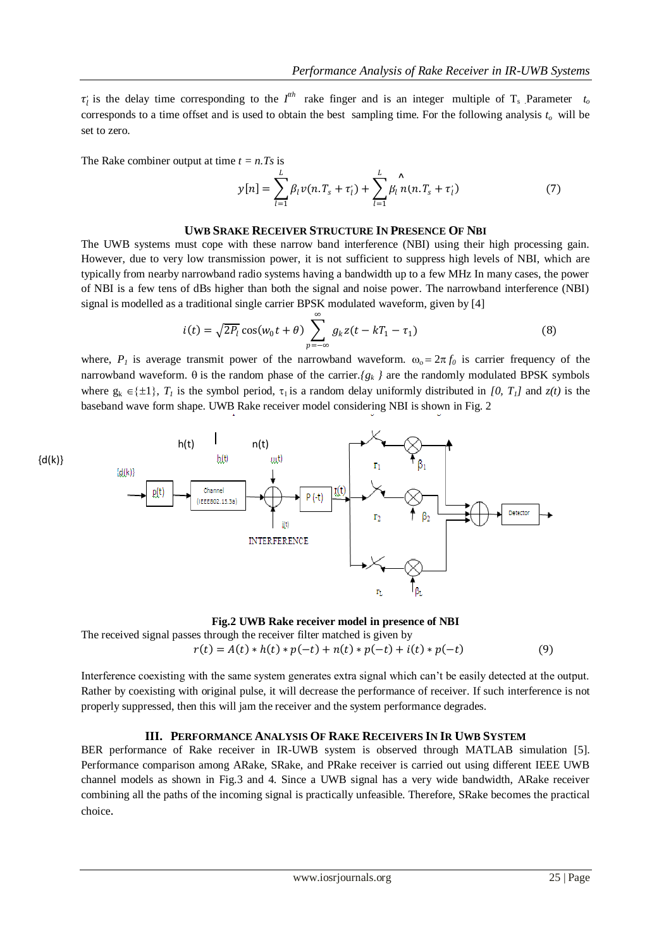$\tau_l$  is the delay time corresponding to the  $I^{th}$  rake finger and is an integer multiple of T<sub>s</sub> Parameter  $t_o$ corresponds to a time offset and is used to obtain the best sampling time. For the following analysis *to* will be set to zero.

The Rake combiner output at time  $t = n.Ts$  is

$$
y[n] = \sum_{l=1}^{L} \beta_l v(n. T_s + \tau'_l) + \sum_{l=1}^{L} \beta_l \hat{n}(n. T_s + \tau'_l)
$$
(7)

#### **UWB SRAKE RECEIVER STRUCTURE IN PRESENCE OF NBI**

The UWB systems must cope with these narrow band interference (NBI) using their high processing gain. However, due to very low transmission power, it is not sufficient to suppress high levels of NBI, which are typically from nearby narrowband radio systems having a bandwidth up to a few MHz In many cases, the power of NBI is a few tens of dBs higher than both the signal and noise power. The narrowband interference (NBI) signal is modelled as a traditional single carrier BPSK modulated waveform, given by [4]

$$
i(t) = \sqrt{2P_l} \cos(w_0 t + \theta) \sum_{p = -\infty}^{\infty} g_k z(t - kT_1 - \tau_1)
$$
 (8)

where,  $P_I$  is average transmit power of the narrowband waveform.  $\omega_0 = 2\pi f_0$  is carrier frequency of the narrowband waveform.  $\theta$  is the random phase of the carrier.*{g<sub>k</sub> }* are the randomly modulated BPSK symbols where  $g_k \in \{\pm 1\}$ ,  $T_I$  is the symbol period,  $\tau_1$  is a random delay uniformly distributed in [0,  $T_I$ ] and  $z(t)$  is the baseband wave form shape. UWB Rake receiver model considering NBI is shown in Fig. 2



#### **Fig.2 UWB Rake receiver model in presence of NBI**

The received signal passes through the receiver filter matched is given by  $r(t) = A(t) * h(t) * p(-t) + n(t) * p(-t) + i(t) * p(-t)$  (9)

Interference coexisting with the same system generates extra signal which can't be easily detected at the output. Rather by coexisting with original pulse, it will decrease the performance of receiver. If such interference is not properly suppressed, then this will jam the receiver and the system performance degrades.

#### **III. PERFORMANCE ANALYSIS OF RAKE RECEIVERS IN IR UWB SYSTEM**

BER performance of Rake receiver in IR-UWB system is observed through MATLAB simulation [5]. Performance comparison among ARake, SRake, and PRake receiver is carried out using different IEEE UWB channel models as shown in Fig.3 and 4. Since a UWB signal has a very wide bandwidth, ARake receiver combining all the paths of the incoming signal is practically unfeasible. Therefore, SRake becomes the practical choice.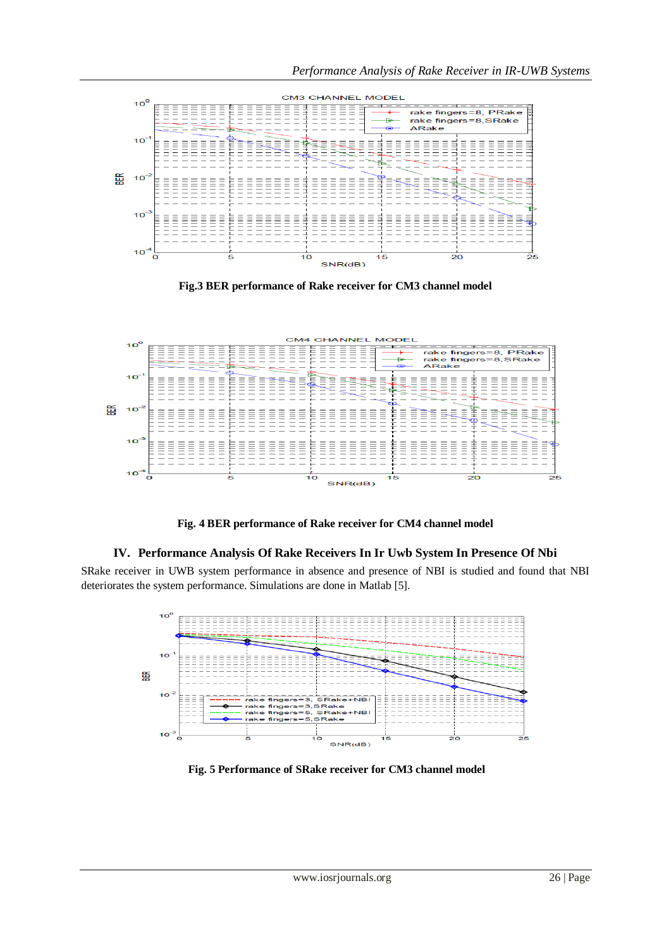

**Fig.3 BER performance of Rake receiver for CM3 channel model**



**Fig. 4 BER performance of Rake receiver for CM4 channel model**

## **IV. Performance Analysis Of Rake Receivers In Ir Uwb System In Presence Of Nbi**

SRake receiver in UWB system performance in absence and presence of NBI is studied and found that NBI deteriorates the system performance. Simulations are done in Matlab [5].



**Fig. 5 Performance of SRake receiver for CM3 channel model**